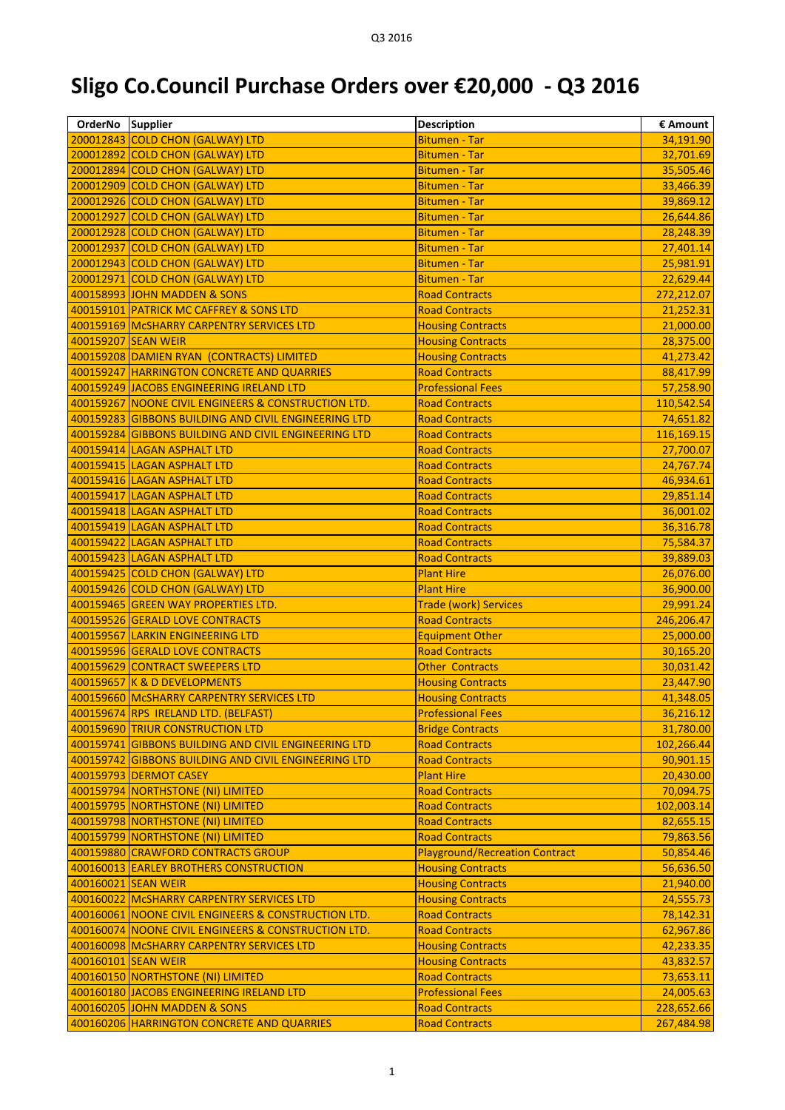## **Sligo Co.Council Purchase Orders over €20,000 - Q3 2016**

| OrderNo Supplier    |                                                      | <b>Description</b>                    | € Amount   |
|---------------------|------------------------------------------------------|---------------------------------------|------------|
|                     | 200012843 COLD CHON (GALWAY) LTD                     | <b>Bitumen - Tar</b>                  | 34,191.90  |
|                     | 200012892 COLD CHON (GALWAY) LTD                     | <b>Bitumen - Tar</b>                  | 32,701.69  |
|                     | 200012894 COLD CHON (GALWAY) LTD                     | <b>Bitumen - Tar</b>                  | 35,505.46  |
|                     | 200012909 COLD CHON (GALWAY) LTD                     | <b>Bitumen - Tar</b>                  | 33,466.39  |
|                     | 200012926 COLD CHON (GALWAY) LTD                     | <b>Bitumen - Tar</b>                  | 39,869.12  |
|                     | 200012927 COLD CHON (GALWAY) LTD                     | <b>Bitumen - Tar</b>                  | 26,644.86  |
|                     | 200012928 COLD CHON (GALWAY) LTD                     | <b>Bitumen - Tar</b>                  | 28,248.39  |
|                     | 200012937 COLD CHON (GALWAY) LTD                     | <b>Bitumen - Tar</b>                  | 27,401.14  |
|                     | 200012943 COLD CHON (GALWAY) LTD                     | <b>Bitumen - Tar</b>                  | 25,981.91  |
|                     | 200012971 COLD CHON (GALWAY) LTD                     | <b>Bitumen - Tar</b>                  | 22,629.44  |
|                     | 400158993 JOHN MADDEN & SONS                         | <b>Road Contracts</b>                 | 272,212.07 |
|                     | 400159101 PATRICK MC CAFFREY & SONS LTD              | <b>Road Contracts</b>                 | 21,252.31  |
|                     | 400159169 McSHARRY CARPENTRY SERVICES LTD            | <b>Housing Contracts</b>              | 21,000.00  |
| 400159207 SEAN WEIR |                                                      | <b>Housing Contracts</b>              | 28,375.00  |
|                     | 400159208 DAMIEN RYAN (CONTRACTS) LIMITED            | <b>Housing Contracts</b>              | 41,273.42  |
|                     | 400159247 HARRINGTON CONCRETE AND QUARRIES           | <b>Road Contracts</b>                 | 88,417.99  |
|                     | 400159249 JACOBS ENGINEERING IRELAND LTD             | <b>Professional Fees</b>              | 57,258.90  |
|                     | 400159267 NOONE CIVIL ENGINEERS & CONSTRUCTION LTD.  | <b>Road Contracts</b>                 | 110,542.54 |
|                     | 400159283 GIBBONS BUILDING AND CIVIL ENGINEERING LTD | <b>Road Contracts</b>                 | 74,651.82  |
|                     | 400159284 GIBBONS BUILDING AND CIVIL ENGINEERING LTD | <b>Road Contracts</b>                 | 116,169.15 |
|                     | 400159414 LAGAN ASPHALT LTD                          | <b>Road Contracts</b>                 | 27,700.07  |
|                     | 400159415 LAGAN ASPHALT LTD                          | <b>Road Contracts</b>                 | 24,767.74  |
|                     | 400159416 LAGAN ASPHALT LTD                          | <b>Road Contracts</b>                 | 46,934.61  |
|                     | 400159417 LAGAN ASPHALT LTD                          | <b>Road Contracts</b>                 | 29,851.14  |
|                     | 400159418 LAGAN ASPHALT LTD                          | <b>Road Contracts</b>                 | 36,001.02  |
|                     | 400159419 LAGAN ASPHALT LTD                          | <b>Road Contracts</b>                 | 36,316.78  |
|                     | 400159422 LAGAN ASPHALT LTD                          | <b>Road Contracts</b>                 | 75,584.37  |
|                     | 400159423 LAGAN ASPHALT LTD                          | <b>Road Contracts</b>                 | 39,889.03  |
|                     | 400159425 COLD CHON (GALWAY) LTD                     | <b>Plant Hire</b>                     | 26,076.00  |
|                     | 400159426 COLD CHON (GALWAY) LTD                     | <b>Plant Hire</b>                     | 36,900.00  |
|                     | 400159465 GREEN WAY PROPERTIES LTD.                  | <b>Trade (work) Services</b>          | 29,991.24  |
|                     | 400159526 GERALD LOVE CONTRACTS                      | <b>Road Contracts</b>                 | 246,206.47 |
|                     | 400159567 LARKIN ENGINEERING LTD                     | <b>Equipment Other</b>                | 25,000.00  |
|                     | 400159596 GERALD LOVE CONTRACTS                      | <b>Road Contracts</b>                 | 30,165.20  |
|                     | 400159629 CONTRACT SWEEPERS LTD                      | <b>Other Contracts</b>                | 30,031.42  |
|                     | 400159657 K & D DEVELOPMENTS                         | <b>Housing Contracts</b>              | 23,447.90  |
|                     | 400159660 McSHARRY CARPENTRY SERVICES LTD            | <b>Housing Contracts</b>              | 41,348.05  |
|                     | 400159674 RPS IRELAND LTD. (BELFAST)                 | <b>Professional Fees</b>              | 36,216.12  |
|                     | 400159690 TRIUR CONSTRUCTION LTD                     | <b>Bridge Contracts</b>               | 31,780.00  |
|                     | 400159741 GIBBONS BUILDING AND CIVIL ENGINEERING LTD | <b>Road Contracts</b>                 | 102,266.44 |
|                     | 400159742 GIBBONS BUILDING AND CIVIL ENGINEERING LTD | <b>Road Contracts</b>                 | 90,901.15  |
|                     | 400159793 DERMOT CASEY                               | <b>Plant Hire</b>                     | 20,430.00  |
|                     | 400159794 NORTHSTONE (NI) LIMITED                    | <b>Road Contracts</b>                 | 70,094.75  |
|                     | 400159795 NORTHSTONE (NI) LIMITED                    | <b>Road Contracts</b>                 | 102,003.14 |
|                     | 400159798 NORTHSTONE (NI) LIMITED                    | <b>Road Contracts</b>                 | 82,655.15  |
|                     | 400159799 NORTHSTONE (NI) LIMITED                    | <b>Road Contracts</b>                 | 79,863.56  |
|                     | 400159880 CRAWFORD CONTRACTS GROUP                   | <b>Playground/Recreation Contract</b> | 50,854.46  |
|                     | 400160013 EARLEY BROTHERS CONSTRUCTION               | <b>Housing Contracts</b>              | 56,636.50  |
| 400160021 SEAN WEIR |                                                      | <b>Housing Contracts</b>              | 21,940.00  |
|                     | 400160022 McSHARRY CARPENTRY SERVICES LTD            | <b>Housing Contracts</b>              | 24,555.73  |
|                     | 400160061 NOONE CIVIL ENGINEERS & CONSTRUCTION LTD.  | <b>Road Contracts</b>                 | 78,142.31  |
|                     | 400160074 NOONE CIVIL ENGINEERS & CONSTRUCTION LTD.  | <b>Road Contracts</b>                 | 62,967.86  |
|                     | 400160098   MCSHARRY CARPENTRY SERVICES LTD          | <b>Housing Contracts</b>              | 42,233.35  |
| 400160101 SEAN WEIR |                                                      | <b>Housing Contracts</b>              | 43,832.57  |
|                     | 400160150 NORTHSTONE (NI) LIMITED                    | <b>Road Contracts</b>                 | 73,653.11  |
|                     | 400160180 JACOBS ENGINEERING IRELAND LTD             | <b>Professional Fees</b>              | 24,005.63  |
|                     | 400160205 JOHN MADDEN & SONS                         | <b>Road Contracts</b>                 | 228,652.66 |
|                     | 400160206 HARRINGTON CONCRETE AND QUARRIES           | <b>Road Contracts</b>                 | 267,484.98 |